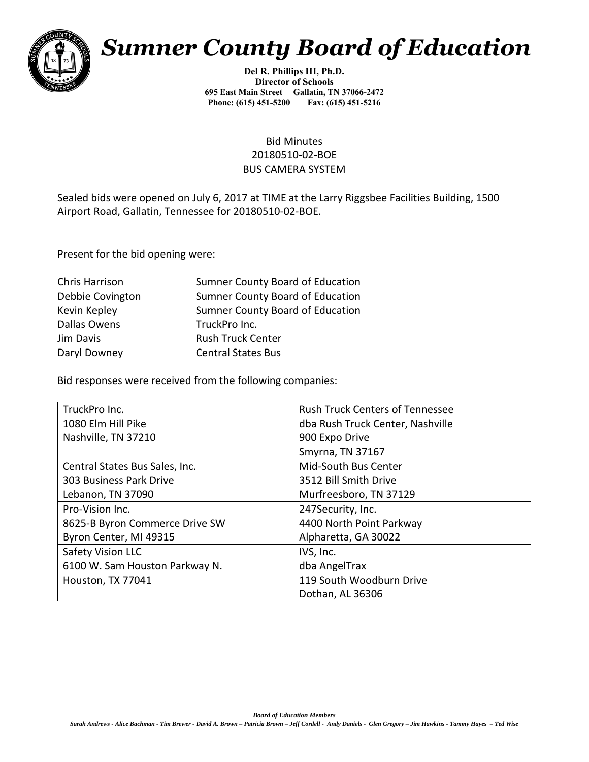

## *Sumner County Board of Education*

**Del R. Phillips III, Ph.D. Director of Schools 695 East Main Street Gallatin, TN 37066-2472 Phone: (615) 451-5200** 

## Bid Minutes 20180510-02-BOE BUS CAMERA SYSTEM

Sealed bids were opened on July 6, 2017 at TIME at the Larry Riggsbee Facilities Building, 1500 Airport Road, Gallatin, Tennessee for 20180510-02-BOE.

Present for the bid opening were:

| Chris Harrison   | Sumner County Board of Education |
|------------------|----------------------------------|
| Debbie Covington | Sumner County Board of Education |
| Kevin Kepley     | Sumner County Board of Education |
| Dallas Owens     | TruckPro Inc.                    |
| Jim Davis        | <b>Rush Truck Center</b>         |
| Daryl Downey     | <b>Central States Bus</b>        |

Bid responses were received from the following companies:

| TruckPro Inc.                  | <b>Rush Truck Centers of Tennessee</b> |
|--------------------------------|----------------------------------------|
| 1080 Elm Hill Pike             | dba Rush Truck Center, Nashville       |
| Nashville, TN 37210            | 900 Expo Drive                         |
|                                | Smyrna, TN 37167                       |
| Central States Bus Sales, Inc. | Mid-South Bus Center                   |
| 303 Business Park Drive        | 3512 Bill Smith Drive                  |
| Lebanon, TN 37090              | Murfreesboro, TN 37129                 |
| Pro-Vision Inc.                | 247Security, Inc.                      |
| 8625-B Byron Commerce Drive SW | 4400 North Point Parkway               |
| Byron Center, MI 49315         | Alpharetta, GA 30022                   |
| <b>Safety Vision LLC</b>       | IVS, Inc.                              |
| 6100 W. Sam Houston Parkway N. | dba AngelTrax                          |
| Houston, TX 77041              | 119 South Woodburn Drive               |
|                                | Dothan, AL 36306                       |